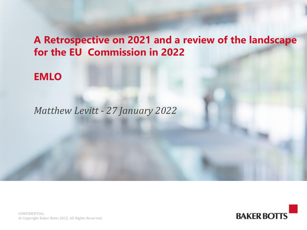## **A Retrospective on 2021 and a review of the landscape for the EU Commission in 2022**

### **EMLO**

### *Matthew Levitt - 27 January 2022*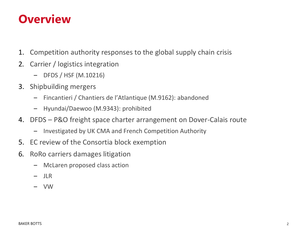## **Overview**

- 1. Competition authority responses to the global supply chain crisis
- 2. Carrier / logistics integration
	- DFDS / HSF (M.10216)
- 3. Shipbuilding mergers
	- Fincantieri / Chantiers de l'Atlantique (M.9162): abandoned
	- Hyundai/Daewoo (M.9343): prohibited
- 4. DFDS P&O freight space charter arrangement on Dover-Calais route
	- Investigated by UK CMA and French Competition Authority
- 5. EC review of the Consortia block exemption
- 6. RoRo carriers damages litigation
	- McLaren proposed class action
	- JLR
	- VW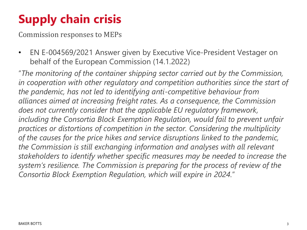# **Supply chain crisis**

Commission responses to MEPs

• EN E-004569/2021 Answer given by Executive Vice-President Vestager on behalf of the European Commission (14.1.2022)

"*The monitoring of the container shipping sector carried out by the Commission, in cooperation with other regulatory and competition authorities since the start of the pandemic, has not led to identifying anti-competitive behaviour from alliances aimed at increasing freight rates. As a consequence, the Commission does not currently consider that the applicable EU regulatory framework,*  including the Consortia Block Exemption Regulation, would fail to prevent unfair *practices or distortions of competition in the sector. Considering the multiplicity of the causes for the price hikes and service disruptions linked to the pandemic, the Commission is still exchanging information and analyses with all relevant stakeholders to identify whether specific measures may be needed to increase the system's resilience. The Commission is preparing for the process of review of the Consortia Block Exemption Regulation, which will expire in 2024.*"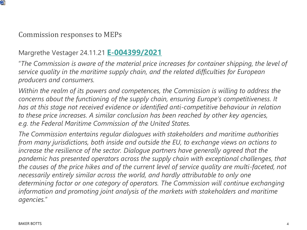

#### Commission responses to MEPs

#### Margrethe Vestager 24.11.21 **[E-004399/2021](https://www.europarl.europa.eu/doceo/document/E-9-2021-004399_EN.html)**

"*The Commission is aware of the material price increases for container shipping, the level of service quality in the maritime supply chain, and the related difficulties for European producers and consumers.*

*Within the realm of its powers and competences, the Commission is willing to address the concerns about the functioning of the supply chain, ensuring Europe's competitiveness. It has at this stage not received evidence or identified anti-competitive behaviour in relation to these price increases. A similar conclusion has been reached by other key agencies, e.g. the Federal Maritime Commission of the United States.*

*The Commission entertains regular dialogues with stakeholders and maritime authorities from many jurisdictions, both inside and outside the EU, to exchange views on actions to*  increase the resilience of the sector. Dialogue partners have generally agreed that the *pandemic has presented operators across the supply chain with exceptional challenges, that the causes of the price hikes and of the current level of service quality are multi-faceted, not necessarily entirely similar across the world, and hardly attributable to only one determining factor or one category of operators. The Commission will continue exchanging information and promoting joint analysis of the markets with stakeholders and maritime agencies.*"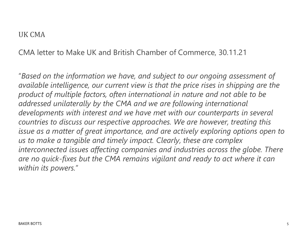#### UK CMA

CMA letter to Make UK and British Chamber of Commerce, 30.11.21

"*Based on the information we have, and subject to our ongoing assessment of available intelligence, our current view is that the price rises in shipping are the product of multiple factors, often international in nature and not able to be addressed unilaterally by the CMA and we are following international developments with interest and we have met with our counterparts in several countries to discuss our respective approaches. We are however, treating this issue as a matter of great importance, and are actively exploring options open to us to make a tangible and timely impact. Clearly, these are complex interconnected issues affecting companies and industries across the globe. There are no quick-fixes but the CMA remains vigilant and ready to act where it can within its powers.*"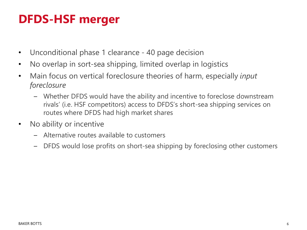# **DFDS-HSF merger**

- Unconditional phase 1 clearance 40 page decision
- No overlap in sort-sea shipping, limited overlap in logistics
- Main focus on vertical foreclosure theories of harm, especially *input foreclosure*
	- Whether DFDS would have the ability and incentive to foreclose downstream rivals' (i.e. HSF competitors) access to DFDS's short-sea shipping services on routes where DFDS had high market shares
- No ability or incentive
	- Alternative routes available to customers
	- DFDS would lose profits on short-sea shipping by foreclosing other customers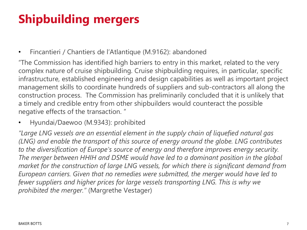# **Shipbuilding mergers**

• Fincantieri / Chantiers de l'Atlantique (M.9162): abandoned

"The Commission has identified high barriers to entry in this market, related to the very complex nature of cruise shipbuilding. Cruise shipbuilding requires, in particular, specific infrastructure, established engineering and design capabilities as well as important project management skills to coordinate hundreds of suppliers and sub-contractors all along the construction process. The Commission has preliminarily concluded that it is unlikely that a timely and credible entry from other shipbuilders would counteract the possible negative effects of the transaction. "

• Hyundai/Daewoo (M.9343): prohibited

*"Large LNG vessels are an essential element in the supply chain of liquefied natural gas (LNG) and enable the transport of this source of energy around the globe. LNG contributes to the diversification of Europe's source of energy and therefore improves energy security. The merger between HHIH and DSME would have led to a dominant position in the global market for the construction of large LNG vessels, for which there is significant demand from European carriers. Given that no remedies were submitted, the merger would have led to*  fewer suppliers and higher prices for large vessels transporting LNG. This is why we *prohibited the merger."* (Margrethe Vestager)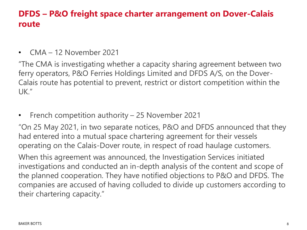### **DFDS – P&O freight space charter arrangement on Dover-Calais route**

• CMA – 12 November 2021

"The CMA is investigating whether a capacity sharing agreement between two ferry operators, P&O Ferries Holdings Limited and DFDS A/S, on the Dover-Calais route has potential to prevent, restrict or distort competition within the UK."

• French competition authority – 25 November 2021

"On 25 May 2021, in two separate notices, P&O and DFDS announced that they had entered into a mutual space chartering agreement for their vessels operating on the Calais-Dover route, in respect of road haulage customers.

When this agreement was announced, the Investigation Services initiated investigations and conducted an in-depth analysis of the content and scope of the planned cooperation. They have notified objections to P&O and DFDS. The companies are accused of having colluded to divide up customers according to their chartering capacity."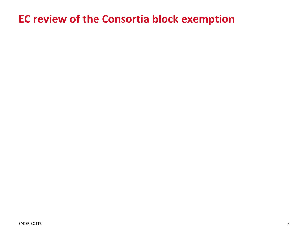## **EC review of the Consortia block exemption**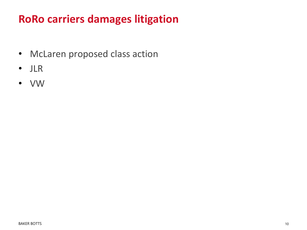## **RoRo carriers damages litigation**

- McLaren proposed class action
- JLR
- VW